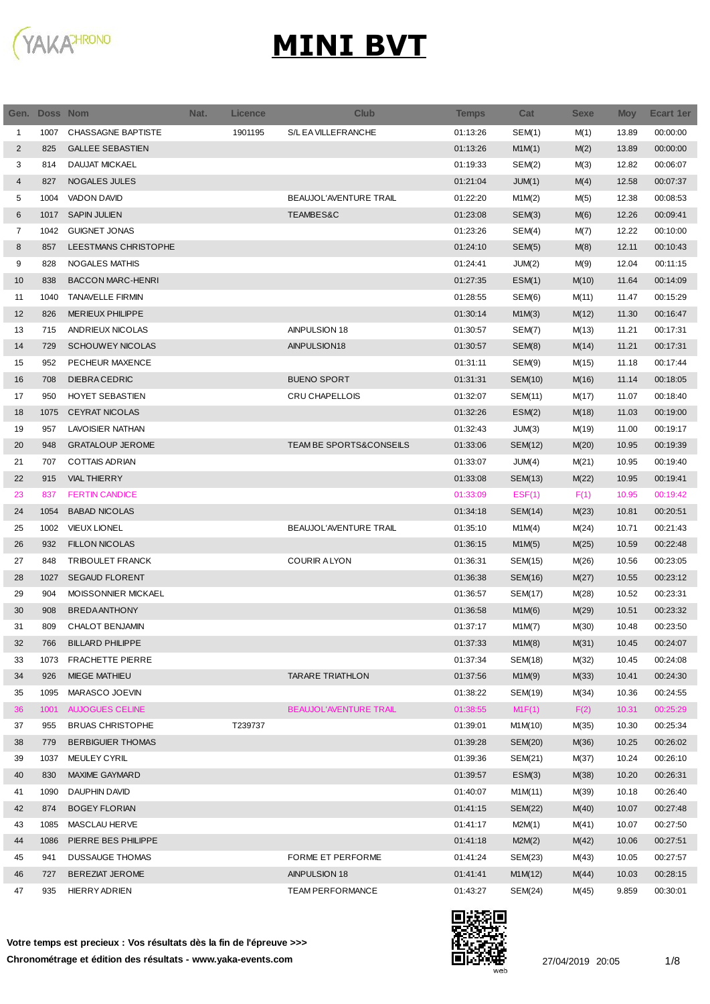

| Gen.           | Doss Nom |                          | Nat. | <b>Licence</b> | <b>Club</b>             | Temps    | Cat            | <b>Sexe</b> | <b>Moy</b> | <b>Ecart 1er</b> |
|----------------|----------|--------------------------|------|----------------|-------------------------|----------|----------------|-------------|------------|------------------|
| 1              | 1007     | CHASSAGNE BAPTISTE       |      | 1901195        | S/L EA VILLEFRANCHE     | 01:13:26 | SEM(1)         | M(1)        | 13.89      | 00:00:00         |
| 2              | 825      | <b>GALLEE SEBASTIEN</b>  |      |                |                         | 01:13:26 | M1M(1)         | M(2)        | 13.89      | 00:00:00         |
| 3              | 814      | <b>DAUJAT MICKAEL</b>    |      |                |                         | 01:19:33 | SEM(2)         | M(3)        | 12.82      | 00:06:07         |
| 4              | 827      | <b>NOGALES JULES</b>     |      |                |                         | 01:21:04 | JUM(1)         | M(4)        | 12.58      | 00:07:37         |
| 5              | 1004     | <b>VADON DAVID</b>       |      |                | BEAUJOL'AVENTURE TRAIL  | 01:22:20 | M1M(2)         | M(5)        | 12.38      | 00:08:53         |
| 6              | 1017     | <b>SAPIN JULIEN</b>      |      |                | TEAMBES&C               | 01:23:08 | SEM(3)         | M(6)        | 12.26      | 00:09:41         |
| $\overline{7}$ | 1042     | <b>GUIGNET JONAS</b>     |      |                |                         | 01:23:26 | SEM(4)         | M(7)        | 12.22      | 00:10:00         |
| 8              | 857      | LEESTMANS CHRISTOPHE     |      |                |                         | 01:24:10 | SEM(5)         | M(8)        | 12.11      | 00:10:43         |
| 9              | 828      | <b>NOGALES MATHIS</b>    |      |                |                         | 01:24:41 | JUM(2)         | M(9)        | 12.04      | 00:11:15         |
| 10             | 838      | <b>BACCON MARC-HENRI</b> |      |                |                         | 01:27:35 | ESM(1)         | M(10)       | 11.64      | 00:14:09         |
| 11             | 1040     | <b>TANAVELLE FIRMIN</b>  |      |                |                         | 01:28:55 | SEM(6)         | M(11)       | 11.47      | 00:15:29         |
| 12             | 826      | <b>MERIEUX PHILIPPE</b>  |      |                |                         | 01:30:14 | M1M(3)         | M(12)       | 11.30      | 00:16:47         |
| 13             | 715      | ANDRIEUX NICOLAS         |      |                | AINPULSION 18           | 01:30:57 | SEM(7)         | M(13)       | 11.21      | 00:17:31         |
| 14             | 729      | <b>SCHOUWEY NICOLAS</b>  |      |                | AINPULSION18            | 01:30:57 | SEM(8)         | M(14)       | 11.21      | 00:17:31         |
| 15             | 952      | PECHEUR MAXENCE          |      |                |                         | 01:31:11 | SEM(9)         | M(15)       | 11.18      | 00:17:44         |
| 16             | 708      | <b>DIEBRACEDRIC</b>      |      |                | <b>BUENO SPORT</b>      | 01:31:31 | SEM(10)        | M(16)       | 11.14      | 00:18:05         |
| 17             | 950      | HOYET SEBASTIEN          |      |                | CRU CHAPELLOIS          | 01:32:07 | SEM(11)        | M(17)       | 11.07      | 00:18:40         |
| 18             | 1075     | <b>CEYRAT NICOLAS</b>    |      |                |                         | 01:32:26 | ESM(2)         | M(18)       | 11.03      | 00:19:00         |
| 19             | 957      | LAVOISIER NATHAN         |      |                |                         | 01:32:43 | JUM(3)         | M(19)       | 11.00      | 00:19:17         |
| 20             | 948      | <b>GRATALOUP JEROME</b>  |      |                | TEAM BE SPORTS&CONSEILS | 01:33:06 | <b>SEM(12)</b> | M(20)       | 10.95      | 00:19:39         |
| 21             | 707      | <b>COTTAIS ADRIAN</b>    |      |                |                         | 01:33:07 | JUM(4)         | M(21)       | 10.95      | 00:19:40         |
| 22             | 915      | <b>VIAL THIERRY</b>      |      |                |                         | 01:33:08 | SEM(13)        | M(22)       | 10.95      | 00:19:41         |
| 23             | 837      | <b>FERTIN CANDICE</b>    |      |                |                         | 01:33:09 | EST(1)         | F(1)        | 10.95      | 00:19:42         |
| 24             | 1054     | <b>BABAD NICOLAS</b>     |      |                |                         | 01:34:18 | SEM(14)        | M(23)       | 10.81      | 00:20:51         |
| 25             | 1002     | <b>VIEUX LIONEL</b>      |      |                | BEAUJOL'AVENTURE TRAIL  | 01:35:10 | M1M(4)         | M(24)       | 10.71      | 00:21:43         |
| 26             | 932      | <b>FILLON NICOLAS</b>    |      |                |                         | 01:36:15 | M1M(5)         | M(25)       | 10.59      | 00:22:48         |
| 27             | 848      | <b>TRIBOULET FRANCK</b>  |      |                | <b>COURIR ALYON</b>     | 01:36:31 | SEM(15)        | M(26)       | 10.56      | 00:23:05         |
| 28             | 1027     | <b>SEGAUD FLORENT</b>    |      |                |                         | 01:36:38 | SEM(16)        | M(27)       | 10.55      | 00:23:12         |
| 29             | 904      | MOISSONNIER MICKAEL      |      |                |                         | 01:36:57 | SEM(17)        | M(28)       | 10.52      | 00:23:31         |
| 30             | 908      | <b>BREDAANTHONY</b>      |      |                |                         | 01:36:58 | M1M(6)         | M(29)       | 10.51      | 00:23:32         |
| 31             | 809      | <b>CHALOT BENJAMIN</b>   |      |                |                         | 01:37:17 | M1M(7)         | M(30)       | 10.48      | 00:23:50         |
| 32             | 766      | <b>BILLARD PHILIPPE</b>  |      |                |                         | 01:37:33 | M1M(8)         | M(31)       | 10.45      | 00:24:07         |
| 33             | 1073     | <b>FRACHETTE PIERRE</b>  |      |                |                         | 01:37:34 | SEM(18)        | M(32)       | 10.45      | 00:24:08         |
| 34             | 926      | <b>MIEGE MATHIEU</b>     |      |                | <b>TARARE TRIATHLON</b> | 01:37:56 | M1M(9)         | M(33)       | 10.41      | 00:24:30         |
| 35             | 1095     | MARASCO JOEVIN           |      |                |                         | 01:38:22 | SEM(19)        | M(34)       | 10.36      | 00:24:55         |
| 36             | 1001     | <b>AUJOGUES CELINE</b>   |      |                | BEAUJOL'AVENTURE TRAIL  | 01:38:55 | M1F(1)         | F(2)        | 10.31      | 00:25:29         |
| 37             | 955      | <b>BRUAS CHRISTOPHE</b>  |      | T239737        |                         | 01:39:01 | M1M(10)        | M(35)       | 10.30      | 00:25:34         |
| 38             | 779      | <b>BERBIGUIER THOMAS</b> |      |                |                         | 01:39:28 | SEM(20)        | M(36)       | 10.25      | 00:26:02         |
| 39             | 1037     | MEULEY CYRIL             |      |                |                         | 01:39:36 | SEM(21)        | M(37)       | 10.24      | 00:26:10         |
| 40             | 830      | <b>MAXIME GAYMARD</b>    |      |                |                         | 01:39:57 | ESM(3)         | M(38)       | 10.20      | 00:26:31         |
| 41             | 1090     | DAUPHIN DAVID            |      |                |                         | 01:40:07 | M1M(11)        | M(39)       | 10.18      | 00:26:40         |
| 42             | 874      | <b>BOGEY FLORIAN</b>     |      |                |                         | 01:41:15 | SEM(22)        | M(40)       | 10.07      | 00:27:48         |
| 43             | 1085     | MASCLAU HERVE            |      |                |                         | 01:41:17 | M2M(1)         | M(41)       | 10.07      | 00:27:50         |
| 44             | 1086     | PIERRE BES PHILIPPE      |      |                |                         | 01:41:18 | M2M(2)         | M(42)       | 10.06      | 00:27:51         |
| 45             | 941      | <b>DUSSAUGE THOMAS</b>   |      |                | FORME ET PERFORME       | 01:41:24 | SEM(23)        | M(43)       | 10.05      | 00:27:57         |
| 46             | 727      | <b>BEREZIAT JEROME</b>   |      |                | AINPULSION 18           | 01:41:41 | M1M(12)        | M(44)       | 10.03      | 00:28:15         |
| 47             | 935      | <b>HIERRY ADRIEN</b>     |      |                | <b>TEAM PERFORMANCE</b> | 01:43:27 | SEM(24)        | M(45)       | 9.859      | 00:30:01         |

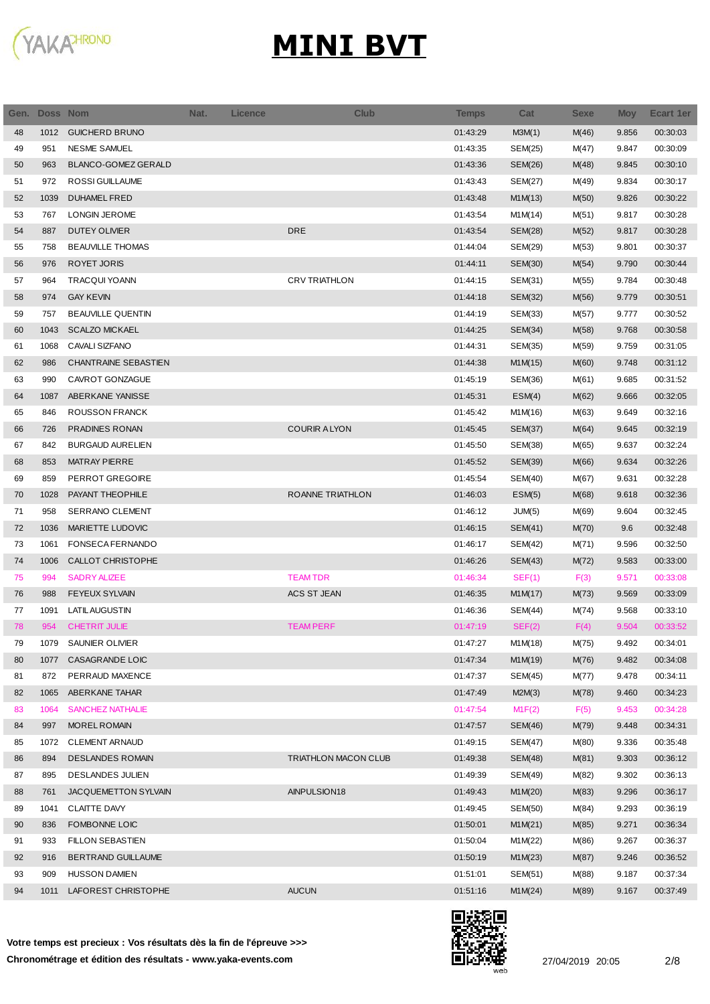

| Gen. | Doss Nom |                             | Nat. | <b>Licence</b> | <b>Club</b>                 | Temps    | Cat     | <b>Sexe</b> | <b>Moy</b> | <b>Ecart 1er</b> |
|------|----------|-----------------------------|------|----------------|-----------------------------|----------|---------|-------------|------------|------------------|
| 48   | 1012     | <b>GUICHERD BRUNO</b>       |      |                |                             | 01:43:29 | M3M(1)  | M(46)       | 9.856      | 00:30:03         |
| 49   | 951      | <b>NESME SAMUEL</b>         |      |                |                             | 01:43:35 | SEM(25) | M(47)       | 9.847      | 00:30:09         |
| 50   | 963      | BLANCO-GOMEZ GERALD         |      |                |                             | 01:43:36 | SEM(26) | M(48)       | 9.845      | 00:30:10         |
| 51   | 972      | ROSSI GUILLAUME             |      |                |                             | 01:43:43 | SEM(27) | M(49)       | 9.834      | 00:30:17         |
| 52   | 1039     | <b>DUHAMEL FRED</b>         |      |                |                             | 01:43:48 | M1M(13) | M(50)       | 9.826      | 00:30:22         |
| 53   | 767      | LONGIN JEROME               |      |                |                             | 01:43:54 | M1M(14) | M(51)       | 9.817      | 00:30:28         |
| 54   | 887      | <b>DUTEY OLIVIER</b>        |      |                | <b>DRE</b>                  | 01:43:54 | SEM(28) | M(52)       | 9.817      | 00:30:28         |
| 55   | 758      | <b>BEAUVILLE THOMAS</b>     |      |                |                             | 01:44:04 | SEM(29) | M(53)       | 9.801      | 00:30:37         |
| 56   | 976      | ROYET JORIS                 |      |                |                             | 01:44:11 | SEM(30) | M(54)       | 9.790      | 00:30:44         |
| 57   | 964      | <b>TRACQUI YOANN</b>        |      |                | <b>CRV TRIATHLON</b>        | 01:44:15 | SEM(31) | M(55)       | 9.784      | 00:30:48         |
| 58   | 974      | <b>GAY KEVIN</b>            |      |                |                             | 01:44:18 | SEM(32) | M(56)       | 9.779      | 00:30:51         |
| 59   | 757      | <b>BEAUVILLE QUENTIN</b>    |      |                |                             | 01:44:19 | SEM(33) | M(57)       | 9.777      | 00:30:52         |
| 60   | 1043     | <b>SCALZO MICKAEL</b>       |      |                |                             | 01:44:25 | SEM(34) | M(58)       | 9.768      | 00:30:58         |
| 61   | 1068     | CAVALI SIZFANO              |      |                |                             | 01:44:31 | SEM(35) | M(59)       | 9.759      | 00:31:05         |
| 62   | 986      | <b>CHANTRAINE SEBASTIEN</b> |      |                |                             | 01:44:38 | M1M(15) | M(60)       | 9.748      | 00:31:12         |
| 63   | 990      | CAVROT GONZAGUE             |      |                |                             | 01:45:19 | SEM(36) | M(61)       | 9.685      | 00:31:52         |
| 64   | 1087     | ABERKANE YANISSE            |      |                |                             | 01:45:31 | ESM(4)  | M(62)       | 9.666      | 00:32:05         |
| 65   | 846      | <b>ROUSSON FRANCK</b>       |      |                |                             | 01:45:42 | M1M(16) | M(63)       | 9.649      | 00:32:16         |
| 66   | 726      | PRADINES RONAN              |      |                | <b>COURIR ALYON</b>         | 01:45:45 | SEM(37) | M(64)       | 9.645      | 00:32:19         |
| 67   | 842      | <b>BURGAUD AURELIEN</b>     |      |                |                             | 01:45:50 | SEM(38) | M(65)       | 9.637      | 00:32:24         |
| 68   | 853      | <b>MATRAY PIERRE</b>        |      |                |                             | 01:45:52 | SEM(39) | M(66)       | 9.634      | 00:32:26         |
| 69   | 859      | PERROT GREGOIRE             |      |                |                             | 01:45:54 | SEM(40) | M(67)       | 9.631      | 00:32:28         |
| 70   | 1028     | PAYANT THEOPHILE            |      |                | ROANNE TRIATHLON            | 01:46:03 | ESM(5)  | M(68)       | 9.618      | 00:32:36         |
| 71   | 958      | SERRANO CLEMENT             |      |                |                             | 01:46:12 | JUM(5)  | M(69)       | 9.604      | 00:32:45         |
| 72   | 1036     | MARIETTE LUDOVIC            |      |                |                             | 01:46:15 | SEM(41) | M(70)       | 9.6        | 00:32:48         |
| 73   | 1061     | FONSECA FERNANDO            |      |                |                             | 01:46:17 | SEM(42) | M(71)       | 9.596      | 00:32:50         |
| 74   | 1006     | <b>CALLOT CHRISTOPHE</b>    |      |                |                             | 01:46:26 | SEM(43) | M(72)       | 9.583      | 00:33:00         |
| 75   | 994      | <b>SADRY ALIZEE</b>         |      |                | <b>TEAM TDR</b>             | 01:46:34 | SEF(1)  | F(3)        | 9.571      | 00:33:08         |
| 76   | 988      | <b>FEYEUX SYLVAIN</b>       |      |                | <b>ACS ST JEAN</b>          | 01:46:35 | M1M(17) | M(73)       | 9.569      | 00:33:09         |
| 77   | 1091     | <b>LATIL AUGUSTIN</b>       |      |                |                             | 01:46:36 | SEM(44) | M(74)       | 9.568      | 00:33:10         |
| 78   | 954      | <b>CHETRIT JULIE</b>        |      |                | <b>TEAM PERF</b>            | 01:47:19 | SEF(2)  | F(4)        | 9.504      | 00:33:52         |
| 79   | 1079     | SAUNIER OLIVIER             |      |                |                             | 01:47:27 | M1M(18) | M(75)       | 9.492      | 00:34:01         |
| 80   | 1077     | CASAGRANDE LOIC             |      |                |                             | 01:47:34 | M1M(19) | M(76)       | 9.482      | 00:34:08         |
| 81   | 872      | PERRAUD MAXENCE             |      |                |                             | 01:47:37 | SEM(45) | M(77)       | 9.478      | 00:34:11         |
| 82   | 1065     | ABERKANE TAHAR              |      |                |                             | 01:47:49 | M2M(3)  | M(78)       | 9.460      | 00:34:23         |
| 83   | 1064     | <b>SANCHEZ NATHALIE</b>     |      |                |                             | 01:47:54 | M1F(2)  | F(5)        | 9.453      | 00:34:28         |
| 84   | 997      | MOREL ROMAIN                |      |                |                             | 01:47:57 | SEM(46) | M(79)       | 9.448      | 00:34:31         |
| 85   | 1072     | <b>CLEMENT ARNAUD</b>       |      |                |                             | 01:49:15 | SEM(47) | M(80)       | 9.336      | 00:35:48         |
| 86   | 894      | <b>DESLANDES ROMAIN</b>     |      |                | <b>TRIATHLON MACON CLUB</b> | 01:49:38 | SEM(48) | M(81)       | 9.303      | 00:36:12         |
| 87   | 895      | <b>DESLANDES JULIEN</b>     |      |                |                             | 01:49:39 |         |             |            | 00:36:13         |
|      |          |                             |      |                |                             |          | SEM(49) | M(82)       | 9.302      |                  |
| 88   | 761      | JACQUEMETTON SYLVAIN        |      |                | AINPULSION18                | 01:49:43 | M1M(20) | M(83)       | 9.296      | 00:36:17         |
| 89   | 1041     | <b>CLAITTE DAVY</b>         |      |                |                             | 01:49:45 | SEM(50) | M(84)       | 9.293      | 00:36:19         |
| 90   | 836      | FOMBONNE LOIC               |      |                |                             | 01:50:01 | M1M(21) | M(85)       | 9.271      | 00:36:34         |
| 91   | 933      | <b>FILLON SEBASTIEN</b>     |      |                |                             | 01:50:04 | M1M(22) | M(86)       | 9.267      | 00:36:37         |
| 92   | 916      | BERTRAND GUILLAUME          |      |                |                             | 01:50:19 | M1M(23) | M(87)       | 9.246      | 00:36:52         |
| 93   | 909      | <b>HUSSON DAMIEN</b>        |      |                |                             | 01:51:01 | SEM(51) | M(88)       | 9.187      | 00:37:34         |
| 94   | 1011     | LAFOREST CHRISTOPHE         |      |                | <b>AUCUN</b>                | 01:51:16 | M1M(24) | M(89)       | 9.167      | 00:37:49         |

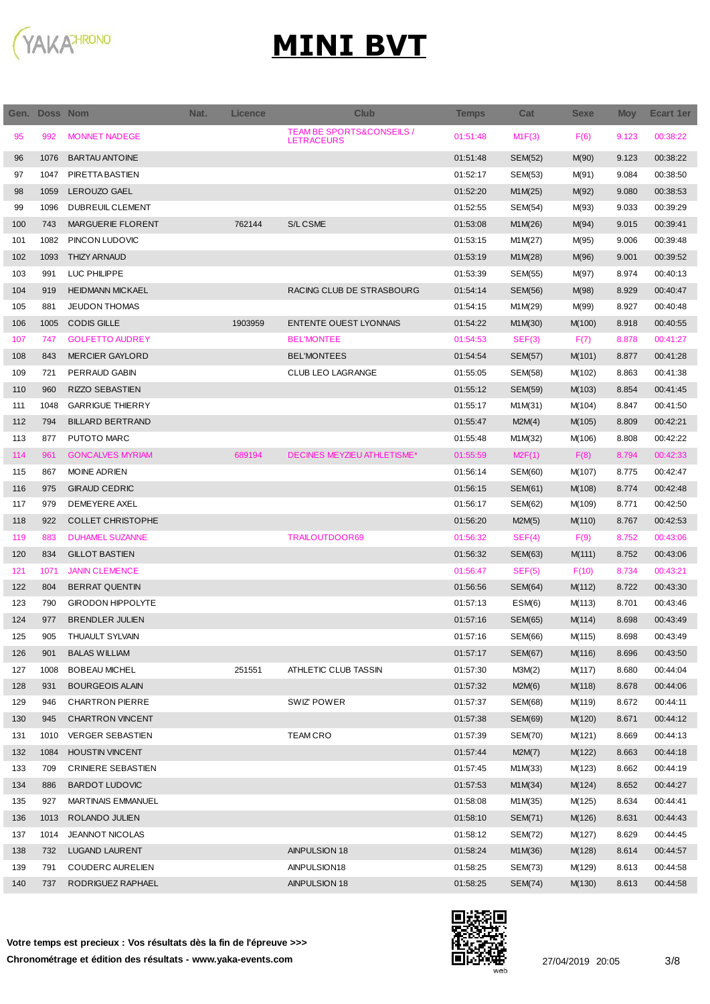

| Gen. | Doss Nom |                           | Nat. | <b>Licence</b> | <b>Club</b>                                               | <b>Temps</b> | Cat            | <b>Sexe</b> | <b>Moy</b> | Ecart 1er |
|------|----------|---------------------------|------|----------------|-----------------------------------------------------------|--------------|----------------|-------------|------------|-----------|
| 95   | 992      | <b>MONNET NADEGE</b>      |      |                | <b>TEAM BE SPORTS&amp;CONSEILS /</b><br><b>LETRACEURS</b> | 01:51:48     | M1F(3)         | F(6)        | 9.123      | 00:38:22  |
| 96   | 1076     | <b>BARTAU ANTOINE</b>     |      |                |                                                           | 01:51:48     | <b>SEM(52)</b> | M(90)       | 9.123      | 00:38:22  |
| 97   | 1047     | PIRETTA BASTIEN           |      |                |                                                           | 01:52:17     | SEM(53)        | M(91)       | 9.084      | 00:38:50  |
| 98   | 1059     | LEROUZO GAEL              |      |                |                                                           | 01:52:20     | M1M(25)        | M(92)       | 9.080      | 00:38:53  |
| 99   | 1096     | DUBREUIL CLEMENT          |      |                |                                                           | 01:52:55     | SEM(54)        | M(93)       | 9.033      | 00:39:29  |
| 100  | 743      | MARGUERIE FLORENT         |      | 762144         | S/L CSME                                                  | 01:53:08     | M1M(26)        | M(94)       | 9.015      | 00:39:41  |
| 101  | 1082     | PINCON LUDOVIC            |      |                |                                                           | 01:53:15     | M1M(27)        | M(95)       | 9.006      | 00:39:48  |
| 102  | 1093     | <b>THIZY ARNAUD</b>       |      |                |                                                           | 01:53:19     | M1M(28)        | M(96)       | 9.001      | 00:39:52  |
| 103  | 991      | LUC PHILIPPE              |      |                |                                                           | 01:53:39     | SEM(55)        | M(97)       | 8.974      | 00:40:13  |
| 104  | 919      | <b>HEIDMANN MICKAEL</b>   |      |                | RACING CLUB DE STRASBOURG                                 | 01:54:14     | SEM(56)        | M(98)       | 8.929      | 00:40:47  |
| 105  | 881      | <b>JEUDON THOMAS</b>      |      |                |                                                           | 01:54:15     | M1M(29)        | M(99)       | 8.927      | 00:40:48  |
| 106  | 1005     | <b>CODIS GILLE</b>        |      | 1903959        | <b>ENTENTE OUEST LYONNAIS</b>                             | 01:54:22     | M1M(30)        | M(100)      | 8.918      | 00:40:55  |
| 107  | 747      | <b>GOLFETTO AUDREY</b>    |      |                | <b>BEL'MONTEE</b>                                         | 01:54:53     | SEF(3)         | F(7)        | 8.878      | 00:41:27  |
| 108  | 843      | <b>MERCIER GAYLORD</b>    |      |                | <b>BEL'MONTEES</b>                                        | 01:54:54     | SEM(57)        | M(101)      | 8.877      | 00:41:28  |
| 109  | 721      | PERRAUD GABIN             |      |                | <b>CLUB LEO LAGRANGE</b>                                  | 01:55:05     | SEM(58)        | M(102)      | 8.863      | 00:41:38  |
| 110  | 960      | <b>RIZZO SEBASTIEN</b>    |      |                |                                                           | 01:55:12     | SEM(59)        | M(103)      | 8.854      | 00:41:45  |
| 111  | 1048     | <b>GARRIGUE THIERRY</b>   |      |                |                                                           | 01:55:17     | M1M(31)        | M(104)      | 8.847      | 00:41:50  |
| 112  | 794      | <b>BILLARD BERTRAND</b>   |      |                |                                                           | 01:55:47     | M2M(4)         | M(105)      | 8.809      | 00:42:21  |
| 113  | 877      | PUTOTO MARC               |      |                |                                                           | 01:55:48     | M1M(32)        | M(106)      | 8.808      | 00:42:22  |
| 114  | 961      | <b>GONCALVES MYRIAM</b>   |      | 689194         | DECINES MEYZIEU ATHLETISME*                               | 01:55:59     | M2F(1)         | F(8)        | 8.794      | 00:42:33  |
| 115  | 867      | <b>MOINE ADRIEN</b>       |      |                |                                                           | 01:56:14     | SEM(60)        | M(107)      | 8.775      | 00:42:47  |
| 116  | 975      | <b>GIRAUD CEDRIC</b>      |      |                |                                                           | 01:56:15     | SEM(61)        | M(108)      | 8.774      | 00:42:48  |
| 117  | 979      | DEMEYERE AXEL             |      |                |                                                           | 01:56:17     | SEM(62)        | M(109)      | 8.771      | 00:42:50  |
| 118  | 922      | <b>COLLET CHRISTOPHE</b>  |      |                |                                                           | 01:56:20     | M2M(5)         | M(110)      | 8.767      | 00:42:53  |
| 119  | 883      | <b>DUHAMEL SUZANNE</b>    |      |                | <b>TRAILOUTDOOR69</b>                                     | 01:56:32     | SEF(4)         | F(9)        | 8.752      | 00:43:06  |
| 120  | 834      | <b>GILLOT BASTIEN</b>     |      |                |                                                           | 01:56:32     | SEM(63)        | M(111)      | 8.752      | 00:43:06  |
| 121  | 1071     | <b>JANIN CLEMENCE</b>     |      |                |                                                           | 01:56:47     | SEF(5)         | F(10)       | 8.734      | 00:43:21  |
| 122  | 804      | <b>BERRAT QUENTIN</b>     |      |                |                                                           | 01:56:56     | SEM(64)        | M(112)      | 8.722      | 00:43:30  |
| 123  | 790      | <b>GIRODON HIPPOLYTE</b>  |      |                |                                                           | 01:57:13     | ESM(6)         | M(113)      | 8.701      | 00:43:46  |
| 124  | 977      | <b>BRENDLER JULIEN</b>    |      |                |                                                           | 01:57:16     | <b>SEM(65)</b> | M(114)      | 8.698      | 00:43:49  |
| 125  | 905      | THUAULT SYLVAIN           |      |                |                                                           | 01:57:16     | SEM(66)        | M(115)      | 8.698      | 00:43:49  |
| 126  | 901      | <b>BALAS WILLIAM</b>      |      |                |                                                           | 01:57:17     | SEM(67)        | M(116)      | 8.696      | 00:43:50  |
| 127  | 1008     | <b>BOBEAU MICHEL</b>      |      | 251551         | ATHLETIC CLUB TASSIN                                      | 01:57:30     | M3M(2)         | M(117)      | 8.680      | 00:44:04  |
| 128  | 931      | <b>BOURGEOIS ALAIN</b>    |      |                |                                                           | 01:57:32     | M2M(6)         | M(118)      | 8.678      | 00:44:06  |
| 129  | 946      | <b>CHARTRON PIERRE</b>    |      |                | SWIZ' POWER                                               | 01:57:37     | SEM(68)        | M(119)      | 8.672      | 00:44:11  |
| 130  | 945      | <b>CHARTRON VINCENT</b>   |      |                |                                                           | 01:57:38     | SEM(69)        | M(120)      | 8.671      | 00:44:12  |
| 131  | 1010     | <b>VERGER SEBASTIEN</b>   |      |                | <b>TEAM CRO</b>                                           | 01:57:39     | SEM(70)        | M(121)      | 8.669      | 00:44:13  |
| 132  | 1084     | <b>HOUSTIN VINCENT</b>    |      |                |                                                           | 01:57:44     | M2M(7)         | M(122)      | 8.663      | 00:44:18  |
| 133  | 709      | <b>CRINIERE SEBASTIEN</b> |      |                |                                                           | 01:57:45     | M1M(33)        | M(123)      | 8.662      | 00:44:19  |
| 134  | 886      | <b>BARDOT LUDOVIC</b>     |      |                |                                                           | 01:57:53     | M1M(34)        | M(124)      | 8.652      | 00:44:27  |
| 135  | 927      | <b>MARTINAIS EMMANUEL</b> |      |                |                                                           | 01:58:08     | M1M(35)        | M(125)      | 8.634      | 00:44:41  |
| 136  | 1013     | ROLANDO JULIEN            |      |                |                                                           | 01:58:10     | SEM(71)        | M(126)      | 8.631      | 00:44:43  |
| 137  | 1014     | <b>JEANNOT NICOLAS</b>    |      |                |                                                           | 01:58:12     | <b>SEM(72)</b> | M(127)      | 8.629      | 00:44:45  |
| 138  | 732      | LUGAND LAURENT            |      |                | AINPULSION 18                                             | 01:58:24     | M1M(36)        | M(128)      | 8.614      | 00:44:57  |
| 139  | 791      | COUDERC AURELIEN          |      |                | AINPULSION18                                              | 01:58:25     | SEM(73)        | M(129)      | 8.613      | 00:44:58  |
| 140  | 737      | RODRIGUEZ RAPHAEL         |      |                | AINPULSION 18                                             | 01:58:25     | <b>SEM(74)</b> | M(130)      | 8.613      | 00:44:58  |

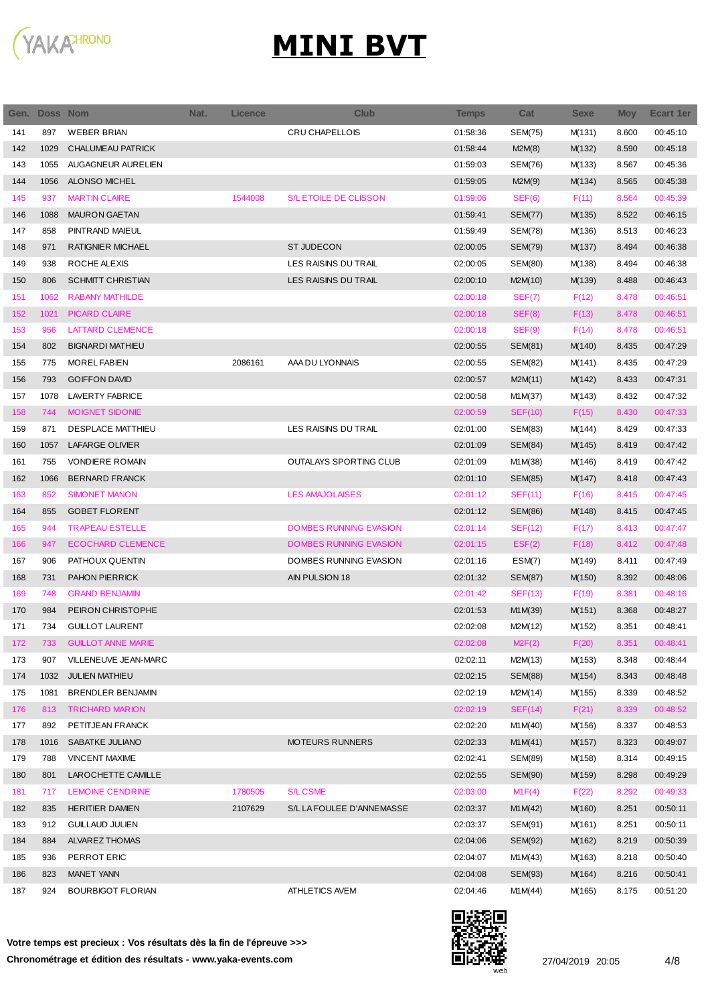

| Gen. | <b>Doss Nom</b> |                           | Nat. | <b>Licence</b> | <b>Club</b>                   | Temps    | Cat            | <b>Sexe</b> | <b>Moy</b> | Ecart 1er |
|------|-----------------|---------------------------|------|----------------|-------------------------------|----------|----------------|-------------|------------|-----------|
| 141  | 897             | <b>WEBER BRIAN</b>        |      |                | CRU CHAPELLOIS                | 01:58:36 | <b>SEM(75)</b> | M(131)      | 8.600      | 00:45:10  |
| 142  | 1029            | <b>CHALUMEAU PATRICK</b>  |      |                |                               | 01:58:44 | M2M(8)         | M(132)      | 8.590      | 00:45:18  |
| 143  | 1055            | AUGAGNEUR AURELIEN        |      |                |                               | 01:59:03 | SEM(76)        | M(133)      | 8.567      | 00:45:36  |
| 144  | 1056            | ALONSO MICHEL             |      |                |                               | 01:59:05 | M2M(9)         | M(134)      | 8.565      | 00:45:38  |
| 145  | 937             | <b>MARTIN CLAIRE</b>      |      | 1544008        | S/L ETOILE DE CLISSON         | 01:59:06 | SEF(6)         | F(11)       | 8.564      | 00:45:39  |
| 146  | 1088            | <b>MAURON GAETAN</b>      |      |                |                               | 01:59:41 | <b>SEM(77)</b> | M(135)      | 8.522      | 00:46:15  |
| 147  | 858             | PINTRAND MAIEUL           |      |                |                               | 01:59:49 | SEM(78)        | M(136)      | 8.513      | 00:46:23  |
| 148  | 971             | RATIGNIER MICHAEL         |      |                | <b>ST JUDECON</b>             | 02:00:05 | <b>SEM(79)</b> | M(137)      | 8.494      | 00:46:38  |
| 149  | 938             | ROCHE ALEXIS              |      |                | LES RAISINS DU TRAIL          | 02:00:05 | SEM(80)        | M(138)      | 8.494      | 00:46:38  |
| 150  | 806             | <b>SCHMITT CHRISTIAN</b>  |      |                | LES RAISINS DU TRAIL          | 02:00:10 | M2M(10)        | M(139)      | 8.488      | 00:46:43  |
| 151  | 1062            | <b>RABANY MATHILDE</b>    |      |                |                               | 02:00:18 | SEF(7)         | F(12)       | 8.478      | 00:46:51  |
| 152  | 1021            | <b>PICARD CLAIRE</b>      |      |                |                               | 02:00:18 | SEF(8)         | F(13)       | 8.478      | 00:46:51  |
| 153  | 956             | <b>LATTARD CLEMENCE</b>   |      |                |                               | 02:00:18 | SEF(9)         | F(14)       | 8.478      | 00:46:51  |
| 154  | 802             | <b>BIGNARDI MATHIEU</b>   |      |                |                               | 02:00:55 | SEM(81)        | M(140)      | 8.435      | 00:47:29  |
| 155  | 775             | <b>MOREL FABIEN</b>       |      | 2086161        | AAA DU LYONNAIS               | 02:00:55 | SEM(82)        | M(141)      | 8.435      | 00:47:29  |
| 156  | 793             | <b>GOIFFON DAVID</b>      |      |                |                               | 02:00:57 | M2M(11)        | M(142)      | 8.433      | 00:47:31  |
| 157  | 1078            | LAVERTY FABRICE           |      |                |                               | 02:00:58 | M1M(37)        | M(143)      | 8.432      | 00:47:32  |
| 158  | 744             | <b>MOIGNET SIDONIE</b>    |      |                |                               | 02:00:59 | <b>SEF(10)</b> | F(15)       | 8.430      | 00:47:33  |
| 159  | 871             | DESPLACE MATTHIEU         |      |                | LES RAISINS DU TRAIL          | 02:01:00 | SEM(83)        | M(144)      | 8.429      | 00:47:33  |
| 160  | 1057            | LAFARGE OLIVIER           |      |                |                               | 02:01:09 | SEM(84)        | M(145)      | 8.419      | 00:47:42  |
| 161  | 755             | <b>VONDIERE ROMAIN</b>    |      |                | OUTALAYS SPORTING CLUB        | 02:01:09 | M1M(38)        | M(146)      | 8.419      | 00:47:42  |
| 162  | 1066            | <b>BERNARD FRANCK</b>     |      |                |                               | 02:01:10 | <b>SEM(85)</b> | M(147)      | 8.418      | 00:47:43  |
| 163  | 852             | <b>SIMONET MANON</b>      |      |                | <b>LES AMAJOLAISES</b>        | 02:01:12 | <b>SEF(11)</b> | F(16)       | 8.415      | 00:47:45  |
| 164  | 855             | <b>GOBET FLORENT</b>      |      |                |                               | 02:01:12 | <b>SEM(86)</b> | M(148)      | 8.415      | 00:47:45  |
| 165  | 944             | <b>TRAPEAU ESTELLE</b>    |      |                | <b>DOMBES RUNNING EVASION</b> | 02:01:14 | <b>SEF(12)</b> | F(17)       | 8.413      | 00:47:47  |
| 166  | 947             | <b>ECOCHARD CLEMENCE</b>  |      |                | <b>DOMBES RUNNING EVASION</b> | 02:01:15 | EST(2)         | F(18)       | 8.412      | 00:47:48  |
| 167  | 906             | PATHOUX QUENTIN           |      |                | DOMBES RUNNING EVASION        | 02:01:16 | ESM(7)         | M(149)      | 8.411      | 00:47:49  |
| 168  | 731             | PAHON PIERRICK            |      |                | AIN PULSION 18                | 02:01:32 | <b>SEM(87)</b> | M(150)      | 8.392      | 00:48:06  |
| 169  | 748             | <b>GRAND BENJAMIN</b>     |      |                |                               | 02:01:42 | SEF(13)        | F(19)       | 8.381      | 00:48:16  |
| 170  | 984             | PEIRON CHRISTOPHE         |      |                |                               | 02:01:53 | M1M(39)        | M(151)      | 8.368      | 00:48:27  |
| 171  | 734             | <b>GUILLOT LAURENT</b>    |      |                |                               | 02:02:08 | M2M(12)        | M(152)      | 8.351      | 00:48:41  |
| 172  | 733             | <b>GUILLOT ANNE MARIE</b> |      |                |                               | 02:02:08 | M2F(2)         | F(20)       | 8.351      | 00:48:41  |
| 173  | 907             | VILLENEUVE JEAN-MARC      |      |                |                               | 02:02:11 | M2M(13)        | M(153)      | 8.348      | 00:48:44  |
| 174  | 1032            | <b>JULIEN MATHIEU</b>     |      |                |                               | 02:02:15 | SEM(88)        | M(154)      | 8.343      | 00:48:48  |
| 175  | 1081            | <b>BRENDLER BENJAMIN</b>  |      |                |                               | 02:02:19 | M2M(14)        | M(155)      | 8.339      | 00:48:52  |
| 176  | 813             | <b>TRICHARD MARION</b>    |      |                |                               | 02:02:19 | SEF(14)        | F(21)       | 8.339      | 00:48:52  |
| 177  | 892             | PETITJEAN FRANCK          |      |                |                               | 02:02:20 | M1M(40)        | M(156)      | 8.337      | 00:48:53  |
| 178  | 1016            | SABATKE JULIANO           |      |                | MOTEURS RUNNERS               | 02:02:33 | M1M(41)        | M(157)      | 8.323      | 00:49:07  |
| 179  | 788             | <b>VINCENT MAXIME</b>     |      |                |                               | 02:02:41 | SEM(89)        | M(158)      | 8.314      | 00:49:15  |
| 180  | 801             | LAROCHETTE CAMILLE        |      |                |                               | 02:02:55 | SEM(90)        | M(159)      | 8.298      | 00:49:29  |
| 181  | 717             | <b>LEMOINE CENDRINE</b>   |      | 1780505        | <b>S/L CSME</b>               | 02:03:00 | M1F(4)         | F(22)       | 8.292      | 00:49:33  |
| 182  | 835             | <b>HERITIER DAMIEN</b>    |      | 2107629        | S/L LA FOULEE D'ANNEMASSE     | 02:03:37 | M1M(42)        | M(160)      | 8.251      | 00:50:11  |
| 183  | 912             | <b>GUILLAUD JULIEN</b>    |      |                |                               | 02:03:37 | SEM(91)        | M(161)      | 8.251      | 00:50:11  |
| 184  | 884             | ALVAREZ THOMAS            |      |                |                               | 02:04:06 | SEM(92)        | M(162)      | 8.219      | 00:50:39  |
| 185  | 936             | PERROT ERIC               |      |                |                               | 02:04:07 | M1M(43)        | M(163)      | 8.218      | 00:50:40  |
| 186  | 823             | <b>MANET YANN</b>         |      |                |                               | 02:04:08 | SEM(93)        | M(164)      | 8.216      | 00:50:41  |
| 187  | 924             | <b>BOURBIGOT FLORIAN</b>  |      |                | ATHLETICS AVEM                | 02:04:46 | M1M(44)        | M(165)      | 8.175      | 00:51:20  |
|      |                 |                           |      |                |                               |          |                |             |            |           |

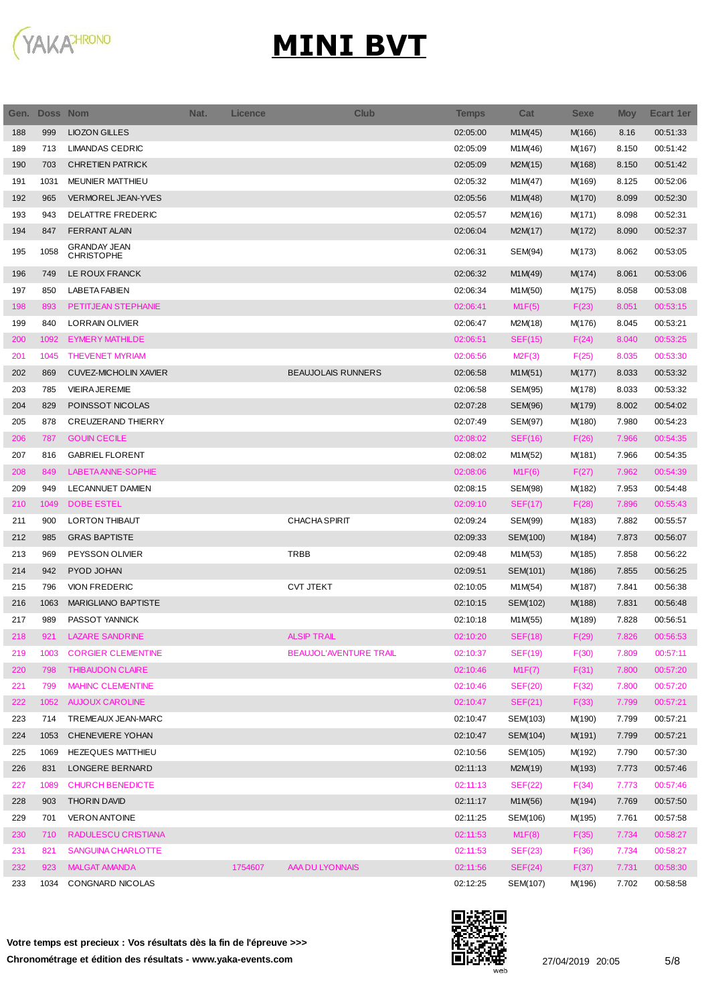

| Gen. | Doss Nom |                                          | Nat. | <b>Licence</b> | <b>Club</b>                   | <b>Temps</b> | Cat            | <b>Sexe</b> | <b>Moy</b> | Ecart 1er |
|------|----------|------------------------------------------|------|----------------|-------------------------------|--------------|----------------|-------------|------------|-----------|
| 188  | 999      | <b>LIOZON GILLES</b>                     |      |                |                               | 02:05:00     | M1M(45)        | M(166)      | 8.16       | 00:51:33  |
| 189  | 713      | <b>LIMANDAS CEDRIC</b>                   |      |                |                               | 02:05:09     | M1M(46)        | M(167)      | 8.150      | 00:51:42  |
| 190  | 703      | <b>CHRETIEN PATRICK</b>                  |      |                |                               | 02:05:09     | M2M(15)        | M(168)      | 8.150      | 00:51:42  |
| 191  | 1031     | <b>MEUNIER MATTHIEU</b>                  |      |                |                               | 02:05:32     | M1M(47)        | M(169)      | 8.125      | 00:52:06  |
| 192  | 965      | VERMOREL JEAN-YVES                       |      |                |                               | 02:05:56     | M1M(48)        | M(170)      | 8.099      | 00:52:30  |
| 193  | 943      | DELATTRE FREDERIC                        |      |                |                               | 02:05:57     | M2M(16)        | M(171)      | 8.098      | 00:52:31  |
| 194  | 847      | <b>FERRANT ALAIN</b>                     |      |                |                               | 02:06:04     | M2M(17)        | M(172)      | 8.090      | 00:52:37  |
| 195  | 1058     | <b>GRANDAY JEAN</b><br><b>CHRISTOPHE</b> |      |                |                               | 02:06:31     | SEM(94)        | M(173)      | 8.062      | 00:53:05  |
| 196  | 749      | LE ROUX FRANCK                           |      |                |                               | 02:06:32     | M1M(49)        | M(174)      | 8.061      | 00:53:06  |
| 197  | 850      | <b>LABETA FABIEN</b>                     |      |                |                               | 02:06:34     | M1M(50)        | M(175)      | 8.058      | 00:53:08  |
| 198  | 893      | PETITJEAN STEPHANIE                      |      |                |                               | 02:06:41     | M1F(5)         | F(23)       | 8.051      | 00:53:15  |
| 199  | 840      | <b>LORRAIN OLIVIER</b>                   |      |                |                               | 02:06:47     | M2M(18)        | M(176)      | 8.045      | 00:53:21  |
| 200  | 1092     | <b>EYMERY MATHILDE</b>                   |      |                |                               | 02:06:51     | SEF(15)        | F(24)       | 8.040      | 00:53:25  |
| 201  | 1045     | <b>THEVENET MYRIAM</b>                   |      |                |                               | 02:06:56     | M2F(3)         | F(25)       | 8.035      | 00:53:30  |
| 202  | 869      | <b>CUVEZ-MICHOLIN XAVIER</b>             |      |                | <b>BEAUJOLAIS RUNNERS</b>     | 02:06:58     | M1M(51)        | M(177)      | 8.033      | 00:53:32  |
| 203  | 785      | <b>VIEIRAJEREMIE</b>                     |      |                |                               | 02:06:58     | SEM(95)        | M(178)      | 8.033      | 00:53:32  |
| 204  | 829      | POINSSOT NICOLAS                         |      |                |                               | 02:07:28     | SEM(96)        | M(179)      | 8.002      | 00:54:02  |
| 205  | 878      | CREUZERAND THIERRY                       |      |                |                               | 02:07:49     | SEM(97)        | M(180)      | 7.980      | 00:54:23  |
| 206  | 787      | <b>GOUIN CECILE</b>                      |      |                |                               | 02:08:02     | SEF(16)        | F(26)       | 7.966      | 00:54:35  |
| 207  | 816      | <b>GABRIEL FLORENT</b>                   |      |                |                               | 02:08:02     | M1M(52)        | M(181)      | 7.966      | 00:54:35  |
| 208  | 849      | LABETA ANNE-SOPHIE                       |      |                |                               | 02:08:06     | M1F(6)         | F(27)       | 7.962      | 00:54:39  |
| 209  | 949      | LECANNUET DAMIEN                         |      |                |                               | 02:08:15     | SEM(98)        | M(182)      | 7.953      | 00:54:48  |
| 210  | 1049     | DOBE ESTEL                               |      |                |                               | 02:09:10     | SEF(17)        | F(28)       | 7.896      | 00:55:43  |
| 211  | 900      | LORTON THIBAUT                           |      |                | <b>CHACHA SPIRIT</b>          | 02:09:24     | SEM(99)        | M(183)      | 7.882      | 00:55:57  |
| 212  | 985      | <b>GRAS BAPTISTE</b>                     |      |                |                               | 02:09:33     | SEM(100)       | M(184)      | 7.873      | 00:56:07  |
| 213  | 969      | PEYSSON OLIVIER                          |      |                | <b>TRBB</b>                   | 02:09:48     | M1M(53)        | M(185)      | 7.858      | 00:56:22  |
| 214  | 942      | PYOD JOHAN                               |      |                |                               | 02:09:51     | SEM(101)       | M(186)      | 7.855      | 00:56:25  |
| 215  | 796      | <b>VION FREDERIC</b>                     |      |                | <b>CVT JTEKT</b>              | 02:10:05     | M1M(54)        | M(187)      | 7.841      | 00:56:38  |
| 216  | 1063     | <b>MARIGLIANO BAPTISTE</b>               |      |                |                               | 02:10:15     | SEM(102)       | M(188)      | 7.831      | 00:56:48  |
| 217  | 989      | PASSOT YANNICK                           |      |                |                               | 02:10:18     | M1M(55)        | M(189)      | 7.828      | 00:56:51  |
| 218  | 921      | <b>LAZARE SANDRINE</b>                   |      |                | <b>ALSIP TRAIL</b>            | 02:10:20     | <b>SEF(18)</b> | F(29)       | 7.826      | 00:56:53  |
| 219  | 1003     | <b>CORGIER CLEMENTINE</b>                |      |                | <b>BEAUJOL'AVENTURE TRAIL</b> | 02:10:37     | <b>SEF(19)</b> | F(30)       | 7.809      | 00:57:11  |
| 220  | 798      | <b>THIBAUDON CLAIRE</b>                  |      |                |                               | 02:10:46     | M1F(7)         | F(31)       | 7.800      | 00:57:20  |
| 221  | 799      | <b>MAHINC CLEMENTINE</b>                 |      |                |                               | 02:10:46     | SEF(20)        | F(32)       | 7.800      | 00:57:20  |
| 222  | 1052     | <b>AUJOUX CAROLINE</b>                   |      |                |                               | 02:10:47     | SEF(21)        | F(33)       | 7.799      | 00:57:21  |
| 223  | 714      | TREMEAUX JEAN-MARC                       |      |                |                               | 02:10:47     | SEM(103)       | M(190)      | 7.799      | 00:57:21  |
| 224  | 1053     | CHENEVIERE YOHAN                         |      |                |                               | 02:10:47     | SEM(104)       | M(191)      | 7.799      | 00:57:21  |
| 225  | 1069     | <b>HEZEQUES MATTHIEU</b>                 |      |                |                               | 02:10:56     | SEM(105)       | M(192)      | 7.790      | 00:57:30  |
| 226  | 831      | LONGERE BERNARD                          |      |                |                               | 02:11:13     | M2M(19)        | M(193)      | 7.773      | 00:57:46  |
| 227  | 1089     | <b>CHURCH BENEDICTE</b>                  |      |                |                               | 02:11:13     | SEF(22)        | F(34)       | 7.773      | 00:57:46  |
| 228  | 903      | <b>THORIN DAVID</b>                      |      |                |                               | 02:11:17     | M1M(56)        | M(194)      | 7.769      | 00:57:50  |
| 229  | 701      | <b>VERON ANTOINE</b>                     |      |                |                               | 02:11:25     | SEM(106)       | M(195)      | 7.761      | 00:57:58  |
| 230  | 710      | RADULESCU CRISTIANA                      |      |                |                               | 02:11:53     | M1F(8)         | F(35)       | 7.734      | 00:58:27  |
| 231  | 821      | SANGUINA CHARLOTTE                       |      |                |                               | 02:11:53     | <b>SEF(23)</b> | F(36)       | 7.734      | 00:58:27  |
| 232  | 923      | <b>MALGAT AMANDA</b>                     |      | 1754607        | AAA DU LYONNAIS               | 02:11:56     | SEF(24)        | F(37)       | 7.731      | 00:58:30  |
| 233  | 1034     | CONGNARD NICOLAS                         |      |                |                               | 02:12:25     | SEM(107)       | M(196)      | 7.702      | 00:58:58  |
|      |          |                                          |      |                |                               |              |                |             |            |           |

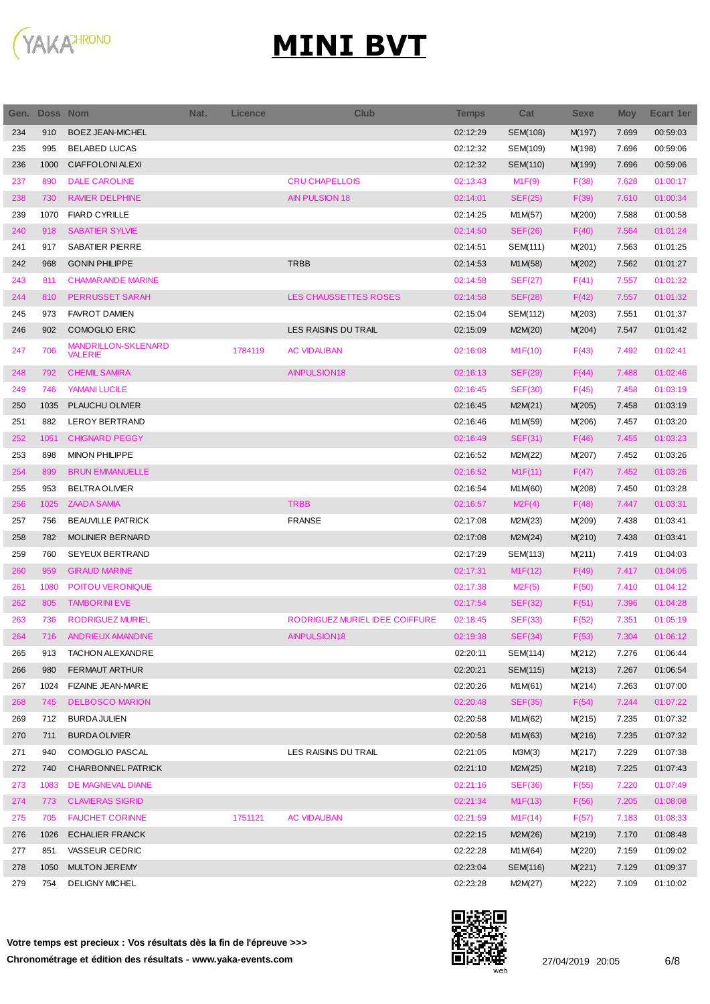

| Gen. | <b>Doss Nom</b> |                                       | Nat. | Licence | <b>Club</b>                    | <b>Temps</b> | Cat            | <b>Sexe</b> | <b>Moy</b> | Ecart 1er |
|------|-----------------|---------------------------------------|------|---------|--------------------------------|--------------|----------------|-------------|------------|-----------|
| 234  | 910             | <b>BOEZ JEAN-MICHEL</b>               |      |         |                                | 02:12:29     | SEM(108)       | M(197)      | 7.699      | 00:59:03  |
| 235  | 995             | <b>BELABED LUCAS</b>                  |      |         |                                | 02:12:32     | SEM(109)       | M(198)      | 7.696      | 00:59:06  |
| 236  | 1000            | <b>CIAFFOLONI ALEXI</b>               |      |         |                                | 02:12:32     | SEM(110)       | M(199)      | 7.696      | 00:59:06  |
| 237  | 890             | <b>DALE CAROLINE</b>                  |      |         | <b>CRU CHAPELLOIS</b>          | 02:13:43     | M1F(9)         | F(38)       | 7.628      | 01:00:17  |
| 238  | 730             | <b>RAVIER DELPHINE</b>                |      |         | <b>AIN PULSION 18</b>          | 02:14:01     | <b>SEF(25)</b> | F(39)       | 7.610      | 01:00:34  |
| 239  | 1070            | <b>FIARD CYRILLE</b>                  |      |         |                                | 02:14:25     | M1M(57)        | M(200)      | 7.588      | 01:00:58  |
| 240  | 918             | <b>SABATIER SYLVIE</b>                |      |         |                                | 02:14:50     | SEF(26)        | F(40)       | 7.564      | 01:01:24  |
| 241  | 917             | SABATIER PIERRE                       |      |         |                                | 02:14:51     | SEM(111)       | M(201)      | 7.563      | 01:01:25  |
| 242  | 968             | <b>GONIN PHILIPPE</b>                 |      |         | <b>TRBB</b>                    | 02:14:53     | M1M(58)        | M(202)      | 7.562      | 01:01:27  |
| 243  | 811             | <b>CHAMARANDE MARINE</b>              |      |         |                                | 02:14:58     | SEF(27)        | F(41)       | 7.557      | 01:01:32  |
| 244  | 810             | PERRUSSET SARAH                       |      |         | LES CHAUSSETTES ROSES          | 02:14:58     | SEF(28)        | F(42)       | 7.557      | 01:01:32  |
| 245  | 973             | <b>FAVROT DAMIEN</b>                  |      |         |                                | 02:15:04     | SEM(112)       | M(203)      | 7.551      | 01:01:37  |
| 246  | 902             | <b>COMOGLIO ERIC</b>                  |      |         | LES RAISINS DU TRAIL           | 02:15:09     | M2M(20)        | M(204)      | 7.547      | 01:01:42  |
| 247  | 706             | MANDRILLON-SKLENARD<br><b>VALERIE</b> |      | 1784119 | <b>AC VIDAUBAN</b>             | 02:16:08     | M1F(10)        | F(43)       | 7.492      | 01:02:41  |
| 248  | 792             | <b>CHEMIL SAMIRA</b>                  |      |         | AINPULSION18                   | 02:16:13     | <b>SEF(29)</b> | F(44)       | 7.488      | 01:02:46  |
| 249  | 746             | <b>YAMANI LUCILE</b>                  |      |         |                                | 02:16:45     | <b>SEF(30)</b> | F(45)       | 7.458      | 01:03:19  |
| 250  | 1035            | PLAUCHU OLIVIER                       |      |         |                                | 02:16:45     | M2M(21)        | M(205)      | 7.458      | 01:03:19  |
| 251  | 882             | LEROY BERTRAND                        |      |         |                                | 02:16:46     | M1M(59)        | M(206)      | 7.457      | 01:03:20  |
| 252  | 1051            | <b>CHIGNARD PEGGY</b>                 |      |         |                                | 02:16:49     | <b>SEF(31)</b> | F(46)       | 7.455      | 01:03:23  |
| 253  | 898             | <b>MINON PHILIPPE</b>                 |      |         |                                | 02:16:52     | M2M(22)        | M(207)      | 7.452      | 01:03:26  |
| 254  | 899             | <b>BRUN EMMANUELLE</b>                |      |         |                                | 02:16:52     | M1F(11)        | F(47)       | 7.452      | 01:03:26  |
| 255  | 953             | <b>BELTRAOLIVIER</b>                  |      |         |                                | 02:16:54     | M1M(60)        | M(208)      | 7.450      | 01:03:28  |
| 256  | 1025            | <b>ZAADA SAMIA</b>                    |      |         | <b>TRBB</b>                    | 02:16:57     | M2F(4)         | F(48)       | 7.447      | 01:03:31  |
| 257  | 756             | <b>BEAUVILLE PATRICK</b>              |      |         | <b>FRANSE</b>                  | 02:17:08     | M2M(23)        | M(209)      | 7.438      | 01:03:41  |
| 258  | 782             | <b>MOLINIER BERNARD</b>               |      |         |                                | 02:17:08     | M2M(24)        | M(210)      | 7.438      | 01:03:41  |
| 259  | 760             | <b>SEYEUX BERTRAND</b>                |      |         |                                | 02:17:29     | SEM(113)       | M(211)      | 7.419      | 01:04:03  |
| 260  | 959             | <b>GIRAUD MARINE</b>                  |      |         |                                | 02:17:31     | M1F(12)        | F(49)       | 7.417      | 01:04:05  |
| 261  | 1080            | POITOU VERONIQUE                      |      |         |                                | 02:17:38     | M2F(5)         | F(50)       | 7.410      | 01:04:12  |
| 262  | 805             | <b>TAMBORINI EVE</b>                  |      |         |                                | 02:17:54     | <b>SEF(32)</b> | F(51)       | 7.396      | 01:04:28  |
| 263  | 736             | <b>RODRIGUEZ MURIEL</b>               |      |         | RODRIGUEZ MURIEL IDEE COIFFURE | 02:18:45     | SEF(33)        | F(52)       | 7.351      | 01:05:19  |
| 264  | 716             | <b>ANDRIEUX AMANDINE</b>              |      |         | AINPULSION18                   | 02:19:38     | SEF(34)        | F(53)       | 7.304      | 01:06:12  |
| 265  | 913             | <b>TACHON ALEXANDRE</b>               |      |         |                                | 02:20:11     | SEM(114)       | M(212)      | 7.276      | 01:06:44  |
| 266  | 980             | <b>FERMAUT ARTHUR</b>                 |      |         |                                | 02:20:21     | SEM(115)       | M(213)      | 7.267      | 01:06:54  |
| 267  | 1024            | <b>FIZAINE JEAN-MARIE</b>             |      |         |                                | 02:20:26     | M1M(61)        | M(214)      | 7.263      | 01:07:00  |
| 268  | 745             | <b>DELBOSCO MARION</b>                |      |         |                                | 02:20:48     | SEF(35)        | F(54)       | 7.244      | 01:07:22  |
| 269  | 712             | <b>BURDA JULIEN</b>                   |      |         |                                | 02:20:58     | M1M(62)        | M(215)      | 7.235      | 01:07:32  |
| 270  | 711             | <b>BURDAOLIVIER</b>                   |      |         |                                | 02:20:58     | M1M(63)        | M(216)      | 7.235      | 01:07:32  |
| 271  | 940             | COMOGLIO PASCAL                       |      |         | LES RAISINS DU TRAIL           | 02:21:05     | M3M(3)         | M(217)      | 7.229      | 01:07:38  |
| 272  | 740             | CHARBONNEL PATRICK                    |      |         |                                | 02:21:10     | M2M(25)        | M(218)      | 7.225      | 01:07:43  |
| 273  | 1083            | DE MAGNEVAL DIANE                     |      |         |                                | 02:21:16     | <b>SEF(36)</b> | F(55)       | 7.220      | 01:07:49  |
| 274  | 773             | <b>CLAVIERAS SIGRID</b>               |      |         |                                | 02:21:34     | M1F(13)        | F(56)       | 7.205      | 01:08:08  |
| 275  | 705             | <b>FAUCHET CORINNE</b>                |      | 1751121 | <b>AC VIDAUBAN</b>             | 02:21:59     | M1F(14)        | F(57)       | 7.183      | 01:08:33  |
| 276  | 1026            | <b>ECHALIER FRANCK</b>                |      |         |                                | 02:22:15     | M2M(26)        | M(219)      | 7.170      | 01:08:48  |
| 277  | 851             | VASSEUR CEDRIC                        |      |         |                                | 02:22:28     | M1M(64)        | M(220)      | 7.159      | 01:09:02  |
| 278  | 1050            | <b>MULTON JEREMY</b>                  |      |         |                                | 02:23:04     | SEM(116)       | M(221)      | 7.129      | 01:09:37  |
| 279  | 754             | <b>DELIGNY MICHEL</b>                 |      |         |                                | 02:23:28     | M2M(27)        | M(222)      | 7.109      | 01:10:02  |

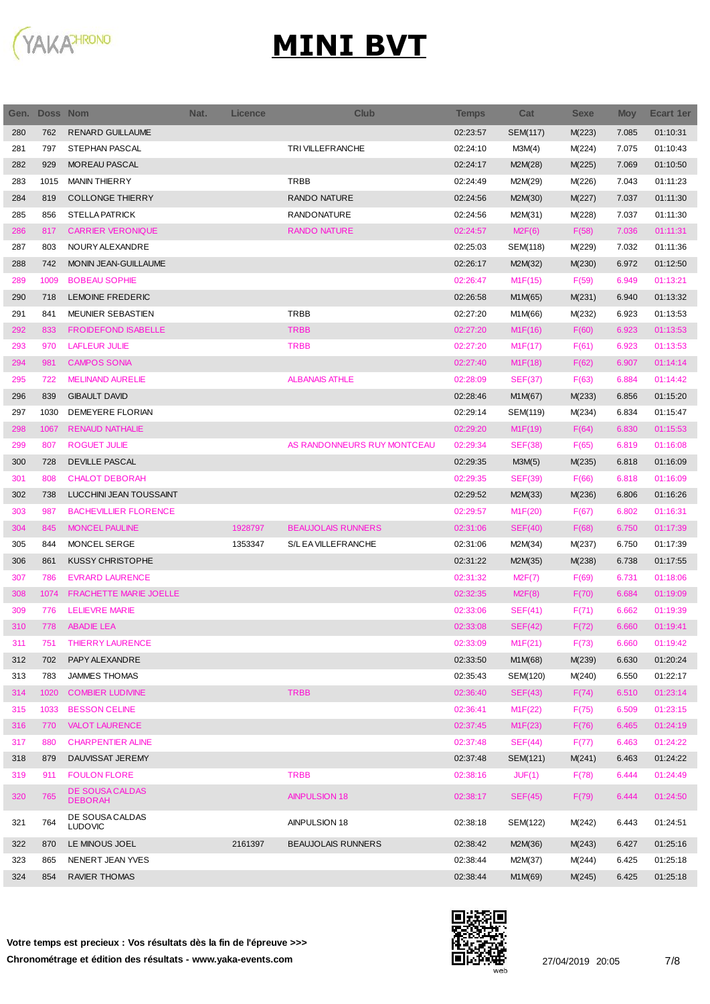

| Gen. | Doss Nom |                                   | Nat. | <b>Licence</b> | <b>Club</b>                 | Temps    | Cat            | <b>Sexe</b> | <b>Moy</b> | Ecart 1er |
|------|----------|-----------------------------------|------|----------------|-----------------------------|----------|----------------|-------------|------------|-----------|
| 280  | 762      | <b>RENARD GUILLAUME</b>           |      |                |                             | 02:23:57 | SEM(117)       | M(223)      | 7.085      | 01:10:31  |
| 281  | 797      | STEPHAN PASCAL                    |      |                | TRIVILLEFRANCHE             | 02:24:10 | M3M(4)         | M(224)      | 7.075      | 01:10:43  |
| 282  | 929      | MOREAU PASCAL                     |      |                |                             | 02:24:17 | M2M(28)        | M(225)      | 7.069      | 01:10:50  |
| 283  | 1015     | <b>MANIN THIERRY</b>              |      |                | <b>TRBB</b>                 | 02:24:49 | M2M(29)        | M(226)      | 7.043      | 01:11:23  |
| 284  | 819      | <b>COLLONGE THIERRY</b>           |      |                | <b>RANDO NATURE</b>         | 02:24:56 | M2M(30)        | M(227)      | 7.037      | 01:11:30  |
| 285  | 856      | <b>STELLA PATRICK</b>             |      |                | <b>RANDONATURE</b>          | 02:24:56 | M2M(31)        | M(228)      | 7.037      | 01:11:30  |
| 286  | 817      | <b>CARRIER VERONIQUE</b>          |      |                | <b>RANDO NATURE</b>         | 02:24:57 | M2F(6)         | F(58)       | 7.036      | 01:11:31  |
| 287  | 803      | NOURY ALEXANDRE                   |      |                |                             | 02:25:03 | SEM(118)       | M(229)      | 7.032      | 01:11:36  |
| 288  | 742      | MONIN JEAN-GUILLAUME              |      |                |                             | 02:26:17 | M2M(32)        | M(230)      | 6.972      | 01:12:50  |
| 289  | 1009     | <b>BOBEAU SOPHIE</b>              |      |                |                             | 02:26:47 | M1F(15)        | F(59)       | 6.949      | 01:13:21  |
| 290  | 718      | LEMOINE FREDERIC                  |      |                |                             | 02:26:58 | M1M(65)        | M(231)      | 6.940      | 01:13:32  |
| 291  | 841      | MEUNIER SEBASTIEN                 |      |                | <b>TRBB</b>                 | 02:27:20 | M1M(66)        | M(232)      | 6.923      | 01:13:53  |
| 292  | 833      | <b>FROIDEFOND ISABELLE</b>        |      |                | <b>TRBB</b>                 | 02:27:20 | M1F(16)        | F(60)       | 6.923      | 01:13:53  |
| 293  | 970      | <b>LAFLEUR JULIE</b>              |      |                | <b>TRBB</b>                 | 02:27:20 | M1F(17)        | F(61)       | 6.923      | 01:13:53  |
| 294  | 981      | <b>CAMPOS SONIA</b>               |      |                |                             | 02:27:40 | M1F(18)        | F(62)       | 6.907      | 01:14:14  |
| 295  | 722      | <b>MELINAND AURELIE</b>           |      |                | <b>ALBANAIS ATHLE</b>       | 02:28:09 | <b>SEF(37)</b> | F(63)       | 6.884      | 01:14:42  |
| 296  | 839      | <b>GIBAULT DAVID</b>              |      |                |                             | 02:28:46 | M1M(67)        | M(233)      | 6.856      | 01:15:20  |
| 297  | 1030     | DEMEYERE FLORIAN                  |      |                |                             | 02:29:14 | SEM(119)       | M(234)      | 6.834      | 01:15:47  |
| 298  | 1067     | <b>RENAUD NATHALIE</b>            |      |                |                             | 02:29:20 | M1F(19)        | F(64)       | 6.830      | 01:15:53  |
| 299  | 807      | <b>ROGUET JULIE</b>               |      |                | AS RANDONNEURS RUY MONTCEAU | 02:29:34 | <b>SEF(38)</b> | F(65)       | 6.819      | 01:16:08  |
| 300  | 728      | <b>DEVILLE PASCAL</b>             |      |                |                             | 02:29:35 | M3M(5)         | M(235)      | 6.818      | 01:16:09  |
| 301  | 808      | <b>CHALOT DEBORAH</b>             |      |                |                             | 02:29:35 | <b>SEF(39)</b> | F(66)       | 6.818      | 01:16:09  |
| 302  | 738      | LUCCHINI JEAN TOUSSAINT           |      |                |                             | 02:29:52 | M2M(33)        | M(236)      | 6.806      | 01:16:26  |
| 303  | 987      | <b>BACHEVILLIER FLORENCE</b>      |      |                |                             | 02:29:57 | M1F(20)        | F(67)       | 6.802      | 01:16:31  |
| 304  | 845      | <b>MONCEL PAULINE</b>             |      | 1928797        | <b>BEAUJOLAIS RUNNERS</b>   | 02:31:06 | SEF(40)        | F(68)       | 6.750      | 01:17:39  |
| 305  | 844      | MONCEL SERGE                      |      | 1353347        | S/L EA VILLEFRANCHE         | 02:31:06 | M2M(34)        | M(237)      | 6.750      | 01:17:39  |
| 306  | 861      | <b>KUSSY CHRISTOPHE</b>           |      |                |                             | 02:31:22 | M2M(35)        | M(238)      | 6.738      | 01:17:55  |
| 307  | 786      | <b>EVRARD LAURENCE</b>            |      |                |                             | 02:31:32 | M2F(7)         | F(69)       | 6.731      | 01:18:06  |
| 308  | 1074     | FRACHETTE MARIE JOELLE            |      |                |                             | 02:32:35 | M2F(8)         | F(70)       | 6.684      | 01:19:09  |
| 309  | 776      | <b>LELIEVRE MARIE</b>             |      |                |                             | 02:33:06 | SEF(41)        | F(71)       | 6.662      | 01:19:39  |
| 310  | 778      | <b>ABADIE LEA</b>                 |      |                |                             | 02:33:08 | SEF(42)        | F(72)       | 6.660      | 01:19:41  |
| 311  | 751      | <b>THIERRY LAURENCE</b>           |      |                |                             | 02:33:09 | M1F(21)        | F(73)       | 6.660      | 01:19:42  |
| 312  | 702      | PAPY ALEXANDRE                    |      |                |                             | 02:33:50 | M1M(68)        | M(239)      | 6.630      | 01:20:24  |
| 313  | 783      | <b>JAMMES THOMAS</b>              |      |                |                             | 02:35:43 | SEM(120)       | M(240)      | 6.550      | 01:22:17  |
| 314  | 1020     | <b>COMBIER LUDIVINE</b>           |      |                | <b>TRBB</b>                 | 02:36:40 | SEF(43)        | F(74)       | 6.510      | 01:23:14  |
| 315  | 1033     | <b>BESSON CELINE</b>              |      |                |                             | 02:36:41 | M1F(22)        | F(75)       | 6.509      | 01:23:15  |
| 316  | 770      | <b>VALOT LAURENCE</b>             |      |                |                             | 02:37:45 | M1F(23)        | F(76)       | 6.465      | 01:24:19  |
| 317  | 880      | <b>CHARPENTIER ALINE</b>          |      |                |                             | 02:37:48 | SEF(44)        | F(77)       | 6.463      | 01:24:22  |
| 318  | 879      | DAUVISSAT JEREMY                  |      |                |                             | 02:37:48 | SEM(121)       | M(241)      | 6.463      | 01:24:22  |
| 319  | 911      | <b>FOULON FLORE</b>               |      |                | <b>TRBB</b>                 | 02:38:16 | JUF(1)         | F(78)       | 6.444      | 01:24:49  |
| 320  | 765      | DE SOUSA CALDAS<br><b>DEBORAH</b> |      |                | <b>AINPULSION 18</b>        | 02:38:17 | SEF(45)        | F(79)       | 6.444      | 01:24:50  |
| 321  | 764      | DE SOUSA CALDAS<br><b>LUDOVIC</b> |      |                | AINPULSION 18               | 02:38:18 | SEM(122)       | M(242)      | 6.443      | 01:24:51  |
| 322  | 870      | LE MINOUS JOEL                    |      | 2161397        | <b>BEAUJOLAIS RUNNERS</b>   | 02:38:42 | M2M(36)        | M(243)      | 6.427      | 01:25:16  |
| 323  | 865      | NENERT JEAN YVES                  |      |                |                             | 02:38:44 | M2M(37)        | M(244)      | 6.425      | 01:25:18  |
| 324  | 854      | <b>RAVIER THOMAS</b>              |      |                |                             | 02:38:44 | M1M(69)        | M(245)      | 6.425      | 01:25:18  |